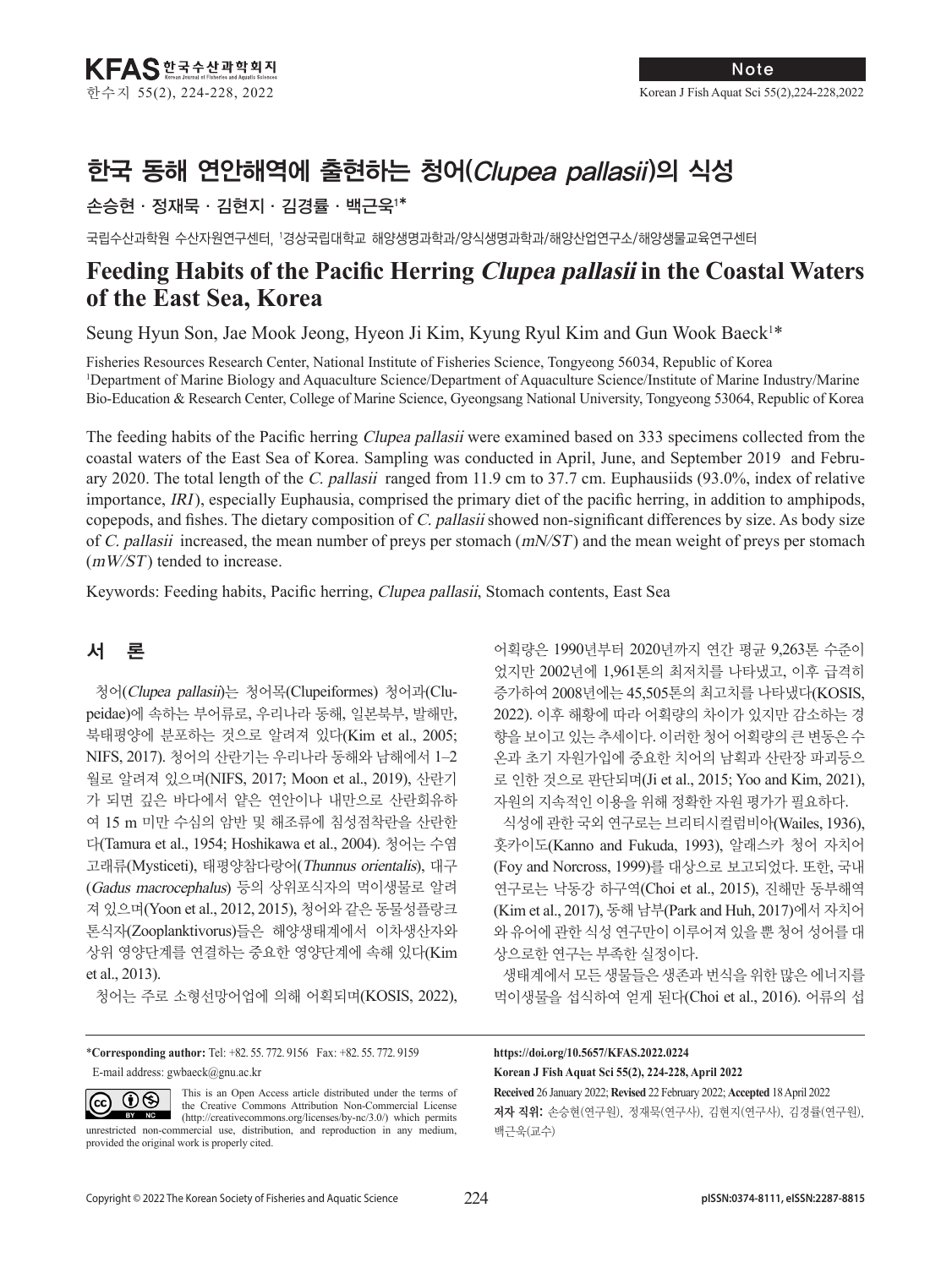# 한국 동해 연안해역에 출현하는 청어(Clupea pallasii)의 식성

## 손승현·정재묵·김현지·김경률·백근욱1 \*

국립수산과학원 수산자원연구센터, 1 경상국립대학교 해양생명과학과/양식생명과학과/해양산업연구소/해양생물교육연구센터

## **Feeding Habits of the Pacific Herring Clupea pallasii in the Coastal Waters of the East Sea, Korea**

Seung Hyun Son, Jae Mook Jeong, Hyeon Ji Kim, Kyung Ryul Kim and Gun Wook Baeck<sup>1\*</sup>

Fisheries Resources Research Center, National Institute of Fisheries Science, Tongyeong 56034, Republic of Korea 1 Department of Marine Biology and Aquaculture Science/Department of Aquaculture Science/Institute of Marine Industry/Marine Bio-Education & Research Center, College of Marine Science, Gyeongsang National University, Tongyeong 53064, Republic of Korea

The feeding habits of the Pacific herring *Clupea pallasii* were examined based on 333 specimens collected from the coastal waters of the East Sea of Korea. Sampling was conducted in April, June, and September 2019 and February 2020. The total length of the C. pallasii ranged from 11.9 cm to 37.7 cm. Euphausiids (93.0%, index of relative importance, IRI), especially Euphausia, comprised the primary diet of the pacific herring, in addition to amphipods, copepods, and fishes. The dietary composition of C. pallasii showed non-significant differences by size. As body size of C. pallasii increased, the mean number of preys per stomach  $(mN/ST)$  and the mean weight of preys per stomach (mW/ST) tended to increase.

Keywords: Feeding habits, Pacific herring, Clupea pallasii, Stomach contents, East Sea

## 서 론

 $(cc)$ 

청어(Clupea pallasii)는 청어목(Clupeiformes) 청어과(Clupeidae)에 속하는 부어류로, 우리나라 동해, 일본북부, 발해만, 북태평양에 분포하는 것으로 알려져 있다(Kim et al., 2005; NIFS, 2017). 청어의 산란기는 우리나라 동해와 남해에서 1–2 월로 알려져 있으며(NIFS, 2017; Moon et al., 2019), 산란기 가 되면 깊은 바다에서 얕은 연안이나 내만으로 산란회유하 여 15 m 미만 수심의 암반 및 해조류에 침성점착란을 산란한 다(Tamura et al., 1954; Hoshikawa et al., 2004). 청어는 수염 고래류(Mysticeti), 태평양참다랑어(Thunnus orientalis), 대구 (Gadus macrocephalus) 등의 상위포식자의 먹이생물로 알려 져 있으며(Yoon et al., 2012, 2015), 청어와 같은 동물성플랑크 톤식자(Zooplanktivorus)들은 해양생태계에서 이차생산자와 상위 영양단계를 연결하는 중요한 영양단계에 속해 있다(Kim et al., 2013).

청어는 주로 소형선망어업에 의해 어획되며(KOSIS, 2022),

\***Corresponding author:** Tel: +82. 55. 772. 9156 Fax: +82. 55. 772. 9159 E-mail address: gwbaeck@gnu.ac.kr

This is an Open Access article distributed under the terms of  $\odot\otimes$ the Creative Commons Attribution Non-Commercial License BY NC (http://creativecommons.org/licenses/by-nc/3.0/) which permits unrestricted non-commercial use, distribution, and reproduction in any medium, provided the original work is properly cited.

어획량은 1990년부터 2020년까지 연간 평균 9,263톤 수준이 었지만 2002년에 1,961톤의 최저치를 나타냈고, 이후 급격히 증가하여 2008년에는 45,505톤의 최고치를 나타냈다(KOSIS, 2022). 이후 해황에 따라 어획량의 차이가 있지만 감소하는 경 향을 보이고 있는 추세이다. 이러한 청어 어획량의 큰 변동은 수 온과 초기 자원가입에 중요한 치어의 남획과 산란장 파괴등으 로 인한 것으로 판단되며(Ji et al., 2015; Yoo and Kim, 2021), 자원의 지속적인 이용을 위해 정확한 자원 평가가 필요하다. 식성에 관한 국외 연구로는 브리티시컬럼비아(Wailes, 1936),

홋카이도(Kanno and Fukuda, 1993), 알래스카 청어 자치어 (Foy and Norcross, 1999)를 대상으로 보고되었다. 또한, 국내 연구로는 낙동강 하구역(Choi et al., 2015), 진해만 동부해역 (Kim et al., 2017), 동해 남부(Park and Huh, 2017)에서 자치어 와 유어에 관한 식성 연구만이 이루어져 있을 뿐 청어 성어를 대 상으로한 연구는 부족한 실정이다.

생태계에서 모든 생물들은 생존과 번식을 위한 많은 에너지를 먹이생물을 섭식하여 얻게 된다(Choi et al., 2016). 어류의 섭

**https://doi.org/10.5657/KFAS.2022.0224 Korean J Fish Aquat Sci 55(2), 224-228, April 2022**

**Received** 26 January 2022; **Revised** 22 February 2022; **Accepted** 18 April 2022 저자 직위: 손승현(연구원), 정재묵(연구사), 김현지(연구사), 김경률(연구원), 백근욱(교수)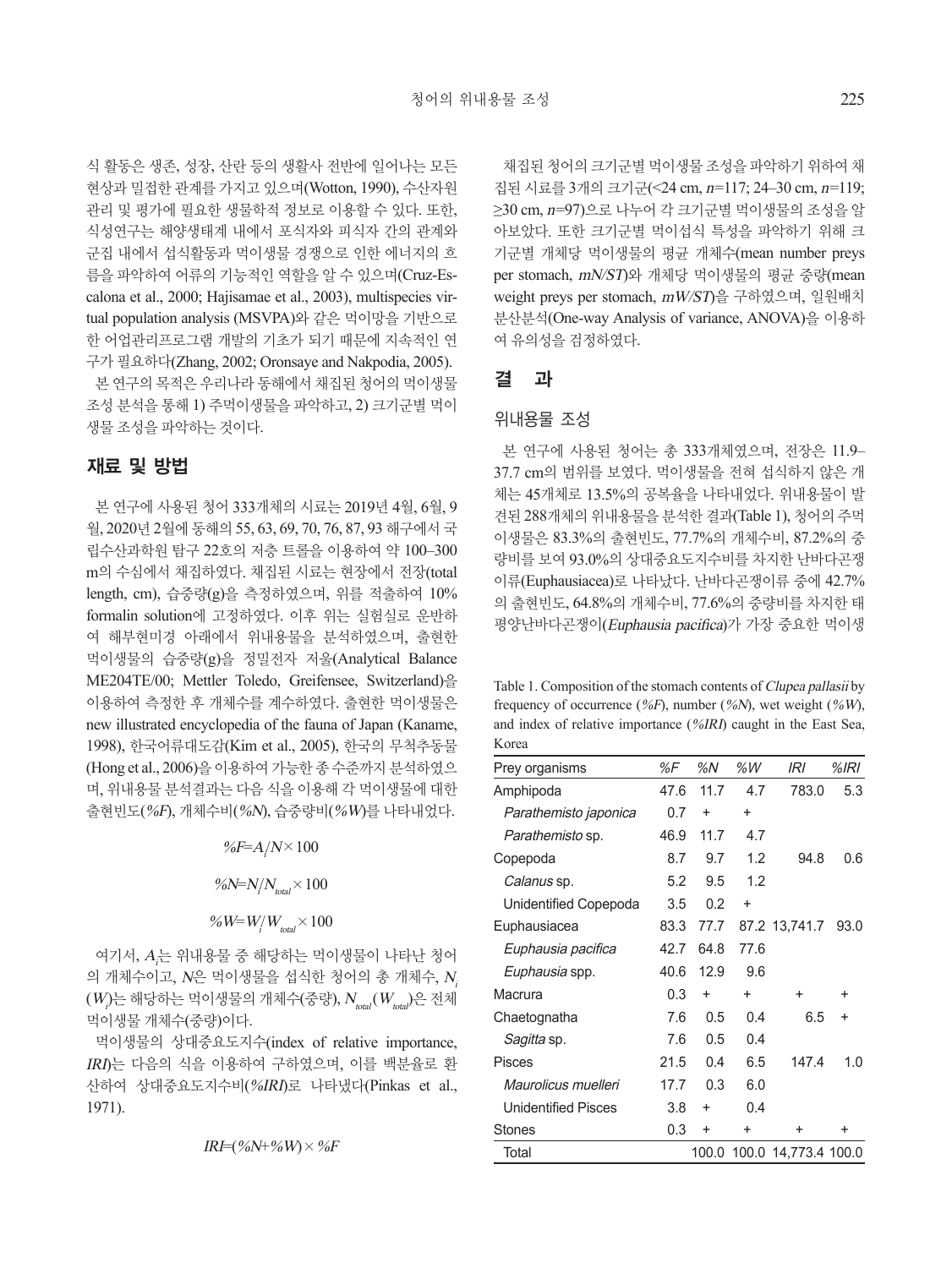식 활동은 생존, 성장, 산란 등의 생활사 전반에 일어나는 모든 현상과 밀접한 관계를 가지고 있으며(Wotton, 1990), 수산자원 관리 및 평가에 필요한 생물학적 정보로 이용할 수 있다. 또한, 식성연구는 해양생태계 내에서 포식자와 피식자 간의 관계와 군집 내에서 섭식활동과 먹이생물 경쟁으로 인한 에너지의 흐 름을 파악하여 어류의 기능적인 역할을 알 수 있으며(Cruz-Escalona et al., 2000; Hajisamae et al., 2003), multispecies virtual population analysis (MSVPA)와 같은 먹이망을 기반으로 한 어업관리프로그램 개발의 기초가 되기 때문에 지속적인 연 구가 필요하다(Zhang, 2002; Oronsaye and Nakpodia, 2005).

본 연구의 목적은 우리나라 동해에서 채집된 청어의 먹이생물 조성 분석을 통해 1) 주먹이생물을 파악하고, 2) 크기군별 먹이 생물 조성을 파악하는 것이다.

## 재료 및 방법

본 연구에 사용된 청어 333개체의 시료는 2019년 4월, 6월, 9 월, 2020년 2월에 동해의 55, 63, 69, 70, 76, 87, 93 해구에서 국 립수산과학원 탐구 22호의 저층 트롤을 이용하여 약 100–300 m의 수심에서 채집하였다. 채집된 시료는 현장에서 전장(total length, cm), 습중량(g)을 측정하였으며, 위를 적출하여 10% formalin solution에 고정하였다. 이후 위는 실험실로 운반하 여 해부현미경 아래에서 위내용물을 분석하였으며, 출현한 먹이생물의 습중량(g)을 정밀전자 저울(Analytical Balance ME204TE/00; Mettler Toledo, Greifensee, Switzerland)을 이용하여 측정한 후 개체수를 계수하였다. 출현한 먹이생물은 new illustrated encyclopedia of the fauna of Japan (Kaname, 1998), 한국어류대도감(Kim et al., 2005), 한국의 무척추동물 (Hong et al., 2006)을 이용하여 가능한 종 수준까지 분석하였으 며, 위내용물 분석결과는 다음 식을 이용해 각 먹이생물에 대한 출현빈도(%F), 개체수비(%N), 습중량비(%W)를 나타내었다.

%F= $A/N \times 100$ 

%N= $N/N_{total}$  × 100

% W=  $W/W_{total} \times 100$ 

여기서, A,는 위내용물 중 해당하는 먹이생물이 나타난 청어 의 개체수이고, N은 먹이생물을 섭식한 청어의 총 개체수, <sup>N</sup><sup>i</sup>  $(W_{\rho})$ 는 해당하는 먹이생물의 개체수(중량),  $N_{_{total}}(W_{_{total}})$ 은 전체 먹이생물 개체수(중량)이다.

먹이생물의 상대중요도지수(index of relative importance, IRI)는 다음의 식을 이용하여 구하였으며, 이를 백분율로 환 산하여 상대중요도지수비(%IRI)로 나타냈다(Pinkas et al., 1971).

 $IRI=(\%N+\%W)\times\%F$ 

채집된 청어의 크기군별 먹이생물 조성을 파악하기 위하여 채 집된 시료를 3개의 크기군(<24 cm, n=117; 24–30 cm, n=119; ≥30 cm, n=97)으로 나누어 각 크기군별 먹이생물의 조성을 알 아보았다. 또한 크기군별 먹이섭식 특성을 파악하기 위해 크 기군별 개체당 먹이생물의 평균 개체수(mean number preys per stomach, mN/ST)와 개체당 먹이생물의 평균 중량(mean weight preys per stomach, mW/ST)을 구하였으며, 일원배치 분산분석(One-way Analysis of variance, ANOVA)을 이용하 여 유의성을 검정하였다.

### 결 과

#### 위내용물 조성

본 연구에 사용된 청어는 총 333개체였으며, 전장은 11.9– 37.7 cm의 범위를 보였다. 먹이생물을 전혀 섭식하지 않은 개 체는 45개체로 13.5%의 공복율을 나타내었다. 위내용물이 발 견된 288개체의 위내용물을 분석한 결과(Table 1), 청어의 주먹 이생물은 83.3%의 출현빈도, 77.7%의 개체수비, 87.2%의 중 량비를 보여 93.0%의 상대중요도지수비를 차지한 난바다곤쟁 이류(Euphausiacea)로 나타났다. 난바다곤쟁이류 중에 42.7% 의 출현빈도, 64.8%의 개체수비, 77.6%의 중량비를 차지한 태 평양난바다곤쟁이(Euphausia pacifica)가 가장 중요한 먹이생

Table 1. Composition of the stomach contents of Clupea pallasii by frequency of occurrence (%F), number (%N), wet weight (%W), and index of relative importance (%IRI) caught in the East Sea, Korea

| Prey organisms             | %F   | %N        | %W        | IRI                        | $%$ IRI   |
|----------------------------|------|-----------|-----------|----------------------------|-----------|
| Amphipoda                  | 47.6 | 11.7      | 4.7       | 783.0                      | 5.3       |
| Parathemisto japonica      | 0.7  | $\ddot{}$ | $\ddot{}$ |                            |           |
| Parathemisto sp.           | 46.9 | 11.7      | 4.7       |                            |           |
| Copepoda                   | 8.7  | 9.7       | 1.2       | 94.8                       | 0.6       |
| Calanus sp.                | 5.2  | 9.5       | 1.2       |                            |           |
| Unidentified Copepoda      | 3.5  | 0.2       | $\ddot{}$ |                            |           |
| Euphausiacea               | 83.3 | 77.7      |           | 87.2 13,741.7              | 93.0      |
| Euphausia pacifica         | 42.7 | 64.8      | 77.6      |                            |           |
| Euphausia spp.             | 40.6 | 12.9      | 9.6       |                            |           |
| Macrura                    | 0.3  | $\ddot{}$ | $\ddot{}$ | $\ddot{}$                  | $\ddot{}$ |
| Chaetognatha               | 7.6  | 0.5       | 0.4       | 6.5                        | $\ddot{}$ |
| <i>Sagitta</i> sp.         | 7.6  | 0.5       | 0.4       |                            |           |
| <b>Pisces</b>              | 21.5 | 0.4       | 6.5       | 147.4                      | 1.0       |
| Maurolicus muelleri        | 17.7 | 0.3       | 6.0       |                            |           |
| <b>Unidentified Pisces</b> | 3.8  | $\ddot{}$ | 0.4       |                            |           |
| Stones                     | 0.3  | $\ddot{}$ | $\ddot{}$ | $\ddot{}$                  | $\div$    |
| Total                      |      |           |           | 100.0 100.0 14,773.4 100.0 |           |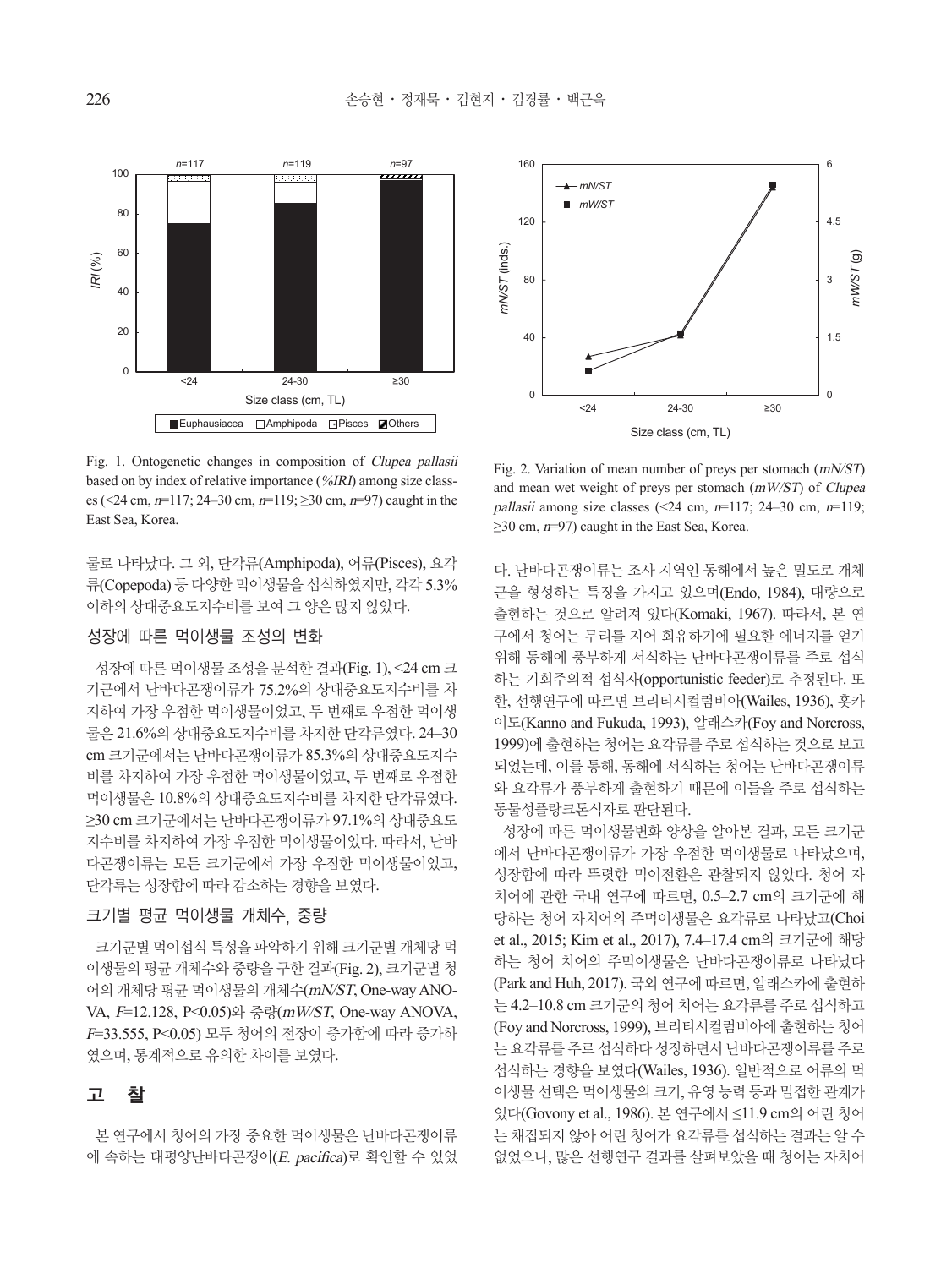

Fig. 1. Ontogenetic changes in composition of Clupea pallasii based on by index of relative importance (%IRI) among size classes (<24 cm,  $n=117$ ; 24–30 cm,  $n=119$ ;  $\geq 30$  cm,  $n=97$ ) caught in the East Sea, Korea.

물로 나타났다. 그 외, 단각류(Amphipoda), 어류(Pisces), 요각 류(Copepoda) 등 다양한 먹이생물을 섭식하였지만, 각각 5.3% 이하의 상대중요도지수비를 보여 그 양은 많지 않았다.<br>-

#### 성장에 따른 먹이생물 조성의 변화 *mN/ST*

성장에 따른 먹이생물 조성을 분석한 결과(Fig. 1), < $24 \text{ cm}$  크 기군에서 난바다곤쟁이류가 75.2%의 상대중요도지수비를 차 지하여 가장 우점한 먹이생물이었고, 두 번째로 우점한 먹이생<br>물은 21.6%의 상대중요도지수비를 차지한 단각류였다. 24–30<br>cm 크기군에서는 나바다곤쟁이류가 85.3%의 상대중요도지수 물은 21.6%의 상대중요도지수비를 차지한 단각류였다. 24–30 cm 크기군에서는 난바다곤쟁이류가 85.3%의 상대중요도지수 비를 차지하여 가장 우점한 먹이생물이었고, 두 번째로 우점한 먹이생물은 10.8%의 상대중요도지수비를 차지한 단각류였다. ≥30 cm 크기군에서는 난바다곤쟁이류가 97.1%의 상대중요도 지수비를 차지하여 가장 우점한 먹이생물이었다. 따라서, 난바 0 0 다곤쟁이류는 모든 크기군에서 가장 우점한 먹이생물이었고, 단각류는 성장함에 따라 감소하는 경향을 보였다. .<br>지금<br>rm *mW/ST*

#### 크기별 평균 먹이생물 개체수, 중량

크기군별 먹이섭식 특성을 파악하기 위해 크기군별 개체당 먹 이생물의 평균 개체수와 중량을 구한 결과(Fig. 2), 크기군별 청 어의 개체당 평균 먹이생물의 개체수(mN/ST, One-way ANO-VA, F=12.128, P<0.05)와 중량(mW/ST, One-way ANOVA, <sup>F</sup>=33.555, P<0.05) 모두 청어의 전장이 증가함에 따라 증가하 였으며, 통계적으로 유의한 차이를 보였다.

## 고 찰

본 연구에서 청어의 가장 중요한 먹이생물은 난바다곤쟁이류 에 속하는 태평양난바다곤쟁이(E. pacifica)로 확인할 수 있었



Fig. 2. Variation of mean number of preys per stomach (mN/ST) and mean wet weight of preys per stomach (mW/ST) of Clupea pallasii among size classes  $\left( \leq 24 \text{ cm}, n=117; 24-30 \text{ cm}, n=119; \right)$  $\geq$ 30 cm,  $n=97$ ) caught in the East Sea, Korea.

다. 난바다곤쟁이류는 조사 지역인 동해에서 높은 밀도로 개체 군을 형성하는 특징을 가지고 있으며(Endo, 1984), 대량으로 출현하는 것으로 알려져 있다(Komaki, 1967). 따라서, 본 연 구에서 청어는 무리를 지어 회유하기에 필요한 에너지를 얻기 위해 동해에 풍부하게 서식하는 난바다곤쟁이류를 주로 섭식 하는 기회주의적 섭식자(opportunistic feeder)로 추정된다. 또 한, 선행연구에 따르면 브리티시컬럼비아(Wailes, 1936), 홋카 이도(Kanno and Fukuda, 1993), 알래스카(Foy and Norcross, 1999)에 출현하는 청어는 요각류를 주로 섭식하는 것으로 보고 되었는데, 이를 통해, 동해에 서식하는 청어는 난바다곤쟁이류 와 요각류가 풍부하게 출현하기 때문에 이들을 주로 섭식하는 동물성플랑크톤식자로 판단된다.

성장에 따른 먹이생물변화 양상을 알아본 결과, 모든 크기군 에서 난바다곤쟁이류가 가장 우점한 먹이생물로 나타났으며, 성장함에 따라 뚜렷한 먹이전환은 관찰되지 않았다. 청어 자 치어에 관한 국내 연구에 따르면, 0.5–2.7 cm의 크기군에 해 당하는 청어 자치어의 주먹이생물은 요각류로 나타났고(Choi et al., 2015; Kim et al., 2017), 7.4–17.4 cm의 크기군에 해당 하는 청어 치어의 주먹이생물은 난바다곤쟁이류로 나타났다 (Park and Huh, 2017). 국외 연구에 따르면, 알래스카에 출현하 는 4.2–10.8 cm 크기군의 청어 치어는 요각류를 주로 섭식하고 (Foy and Norcross, 1999), 브리티시컬럼비아에 출현하는 청어 는 요각류를 주로 섭식하다 성장하면서 난바다곤쟁이류를 주로 섭식하는 경향을 보였다(Wailes, 1936). 일반적으로 어류의 먹 이생물 선택은 먹이생물의 크기, 유영 능력 등과 밀접한 관계가 있다(Govony et al., 1986). 본 연구에서 ≤11.9 cm의 어린 청어 는 채집되지 않아 어린 청어가 요각류를 섭식하는 결과는 알 수 없었으나, 많은 선행연구 결과를 살펴보았을 때 청어는 자치어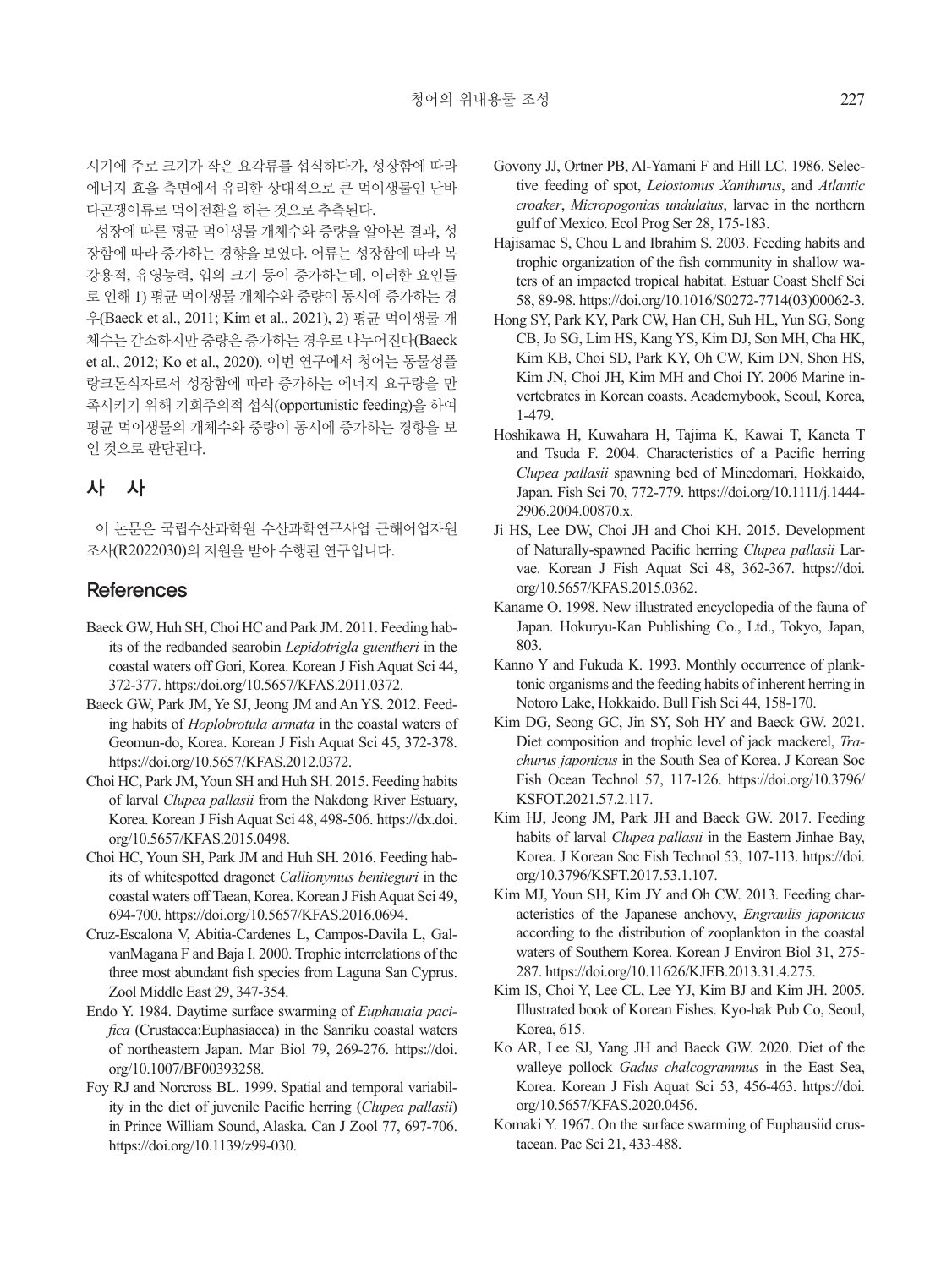시기에 주로 크기가 작은 요각류를 섭식하다가, 성장함에 따라 에너지 효율 측면에서 유리한 상대적으로 큰 먹이생물인 난바 다곤쟁이류로 먹이전환을 하는 것으로 추측된다.

성장에 따른 평균 먹이생물 개체수와 중량을 알아본 결과, 성 장함에 따라 증가하는 경향을 보였다. 어류는 성장함에 따라 복 강용적, 유영능력, 입의 크기 등이 증가하는데, 이러한 요인들 로 인해 1) 평균 먹이생물 개체수와 중량이 동시에 증가하는 경 우(Baeck et al., 2011; Kim et al., 2021), 2) 평균 먹이생물 개 체수는 감소하지만 중량은 증가하는 경우로 나누어진다(Baeck et al., 2012; Ko et al., 2020). 이번 연구에서 청어는 동물성플 랑크톤식자로서 성장함에 따라 증가하는 에너지 요구량을 만 족시키기 위해 기회주의적 섭식(opportunistic feeding)을 하여 평균 먹이생물의 개체수와 중량이 동시에 증가하는 경향을 보 인 것으로 판단된다.

## 사 사

이 논문은 국립수산과학원 수산과학연구사업 근해어업자원 조사(R2022030)의 지원을 받아 수행된 연구입니다.

## **References**

- Baeck GW, Huh SH, Choi HC and Park JM. 2011. Feeding habits of the redbanded searobin *Lepidotrigla guentheri* in the coastal waters off Gori, Korea. Korean J Fish Aquat Sci 44, 372-377. https:/doi.org/10.5657/KFAS.2011.0372.
- Baeck GW, Park JM, Ye SJ, Jeong JM and An YS. 2012. Feeding habits of *Hoplobrotula armata* in the coastal waters of Geomun-do, Korea. Korean J Fish Aquat Sci 45, 372-378. https://doi.org/10.5657/KFAS.2012.0372.
- Choi HC, Park JM, Youn SH and Huh SH. 2015. Feeding habits of larval *Clupea pallasii* from the Nakdong River Estuary, Korea. Korean J Fish Aquat Sci 48, 498-506. https://dx.doi. org/10.5657/KFAS.2015.0498.
- Choi HC, Youn SH, Park JM and Huh SH. 2016. Feeding habits of whitespotted dragonet *Callionymus beniteguri* in the coastal waters off Taean, Korea. Korean J Fish Aquat Sci 49, 694-700. https://doi.org/10.5657/KFAS.2016.0694.
- Cruz-Escalona V, Abitia-Cardenes L, Campos-Davila L, GalvanMagana F and Baja I. 2000. Trophic interrelations of the three most abundant fish species from Laguna San Cyprus. Zool Middle East 29, 347-354.
- Endo Y. 1984. Daytime surface swarming of *Euphauaia pacifica* (Crustacea:Euphasiacea) in the Sanriku coastal waters of northeastern Japan. Mar Biol 79, 269-276. https://doi. org/10.1007/BF00393258.
- Foy RJ and Norcross BL. 1999. Spatial and temporal variability in the diet of juvenile Pacific herring (*Clupea pallasii*) in Prince William Sound, Alaska. Can J Zool 77, 697-706. https://doi.org/10.1139/z99-030.
- Govony JJ, Ortner PB, Al-Yamani F and Hill LC. 1986. Selective feeding of spot, *Leiostomus Xanthurus*, and *Atlantic croaker*, *Micropogonias undulatus*, larvae in the northern gulf of Mexico. Ecol Prog Ser 28, 175-183.
- Hajisamae S, Chou L and Ibrahim S. 2003. Feeding habits and trophic organization of the fish community in shallow waters of an impacted tropical habitat. Estuar Coast Shelf Sci 58, 89-98. https://doi.org/10.1016/S0272-7714(03)00062-3.
- Hong SY, Park KY, Park CW, Han CH, Suh HL, Yun SG, Song CB, Jo SG, Lim HS, Kang YS, Kim DJ, Son MH, Cha HK, Kim KB, Choi SD, Park KY, Oh CW, Kim DN, Shon HS, Kim JN, Choi JH, Kim MH and Choi IY. 2006 Marine invertebrates in Korean coasts. Academybook, Seoul, Korea, 1-479.
- Hoshikawa H, Kuwahara H, Tajima K, Kawai T, Kaneta T and Tsuda F. 2004. Characteristics of a Pacific herring *Clupea pallasii* spawning bed of Minedomari, Hokkaido, Japan. Fish Sci 70, 772-779. https://doi.org/10.1111/j.1444- 2906.2004.00870.x.
- Ji HS, Lee DW, Choi JH and Choi KH. 2015. Development of Naturally-spawned Pacific herring *Clupea pallasii* Larvae. Korean J Fish Aquat Sci 48, 362-367. https://doi. org/10.5657/KFAS.2015.0362.
- Kaname O. 1998. New illustrated encyclopedia of the fauna of Japan. Hokuryu-Kan Publishing Co., Ltd., Tokyo, Japan, 803.
- Kanno Y and Fukuda K. 1993. Monthly occurrence of planktonic organisms and the feeding habits of inherent herring in Notoro Lake, Hokkaido. Bull Fish Sci 44, 158-170.
- Kim DG, Seong GC, Jin SY, Soh HY and Baeck GW. 2021. Diet composition and trophic level of jack mackerel, *Trachurus japonicus* in the South Sea of Korea. J Korean Soc Fish Ocean Technol 57, 117-126. https://doi.org/10.3796/ KSFOT.2021.57.2.117.
- Kim HJ, Jeong JM, Park JH and Baeck GW. 2017. Feeding habits of larval *Clupea pallasii* in the Eastern Jinhae Bay, Korea. J Korean Soc Fish Technol 53, 107-113. https://doi. org/10.3796/KSFT.2017.53.1.107.
- Kim MJ, Youn SH, Kim JY and Oh CW. 2013. Feeding characteristics of the Japanese anchovy, *Engraulis japonicus* according to the distribution of zooplankton in the coastal waters of Southern Korea. Korean J Environ Biol 31, 275- 287. https://doi.org/10.11626/KJEB.2013.31.4.275.
- Kim IS, Choi Y, Lee CL, Lee YJ, Kim BJ and Kim JH. 2005. Illustrated book of Korean Fishes. Kyo-hak Pub Co, Seoul, Korea, 615.
- Ko AR, Lee SJ, Yang JH and Baeck GW. 2020. Diet of the walleye pollock *Gadus chalcogrammus* in the East Sea, Korea. Korean J Fish Aquat Sci 53, 456-463. https://doi. org/10.5657/KFAS.2020.0456.
- Komaki Y. 1967. On the surface swarming of Euphausiid crustacean. Pac Sci 21, 433-488.